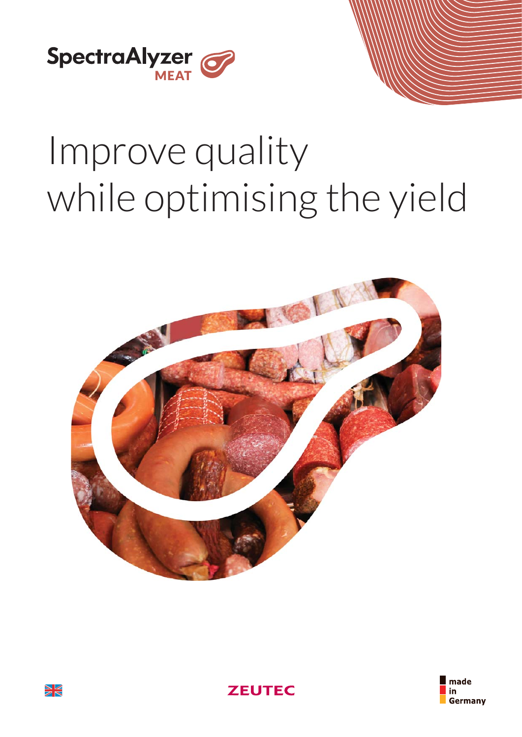

# Improve quality while optimising the yield







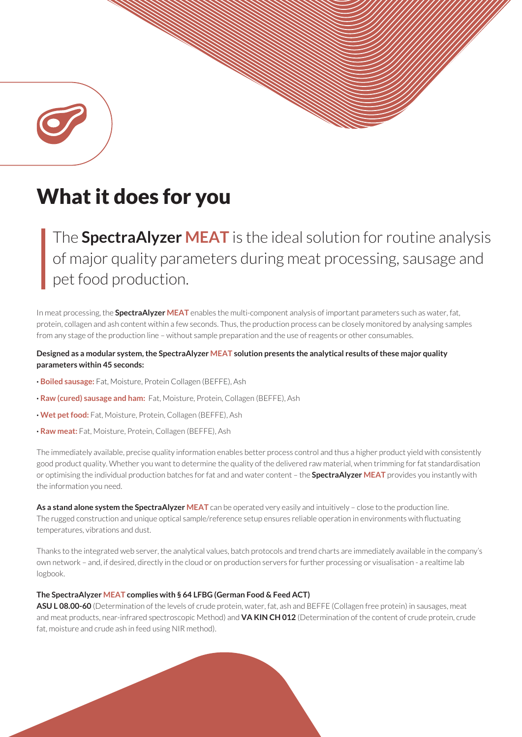

The **SpectraAlyzer MEAT** is the ideal solution for routine analysis of major quality parameters during meat processing, sausage and pet food production.

In meat processing, the **SpectraAlyzer MEAT** enables the multi-component analysis of important parameters such as water, fat, protein, collagen and ash content within a few seconds. Thus, the production process can be closely monitored by analysing samples from any stage of the production line – without sample preparation and the use of reagents or other consumables.

## **Designed as a modular system, the SpectraAlyzer MEAT solution presents the analytical results of these major quality parameters within 45 seconds:**

- **· Boiled sausage:** Fat, Moisture, Protein Collagen (BEFFE), Ash
- **· Raw (cured) sausage and ham:** Fat, Moisture, Protein, Collagen (BEFFE), Ash
- **· Wet pet food:** Fat, Moisture, Protein, Collagen (BEFFE), Ash
- **· Raw meat:** Fat, Moisture, Protein, Collagen (BEFFE), Ash

The immediately available, precise quality information enables better process control and thus a higher product yield with consistently good product quality. Whether you want to determine the quality of the delivered raw material, when trimming for fat standardisation or optimising the individual production batches for fat and and water content – the **SpectraAlyzer MEAT** provides you instantly with the information you need.

As a stand alone system the SpectraAlyzer MEAT can be operated very easily and intuitively - close to the production line. The rugged construction and unique optical sample/reference setup ensures reliable operation in environments with fluctuating temperatures, vibrations and dust.

Thanks to the integrated web server, the analytical values, batch protocols and trend charts are immediately available in the company's own network – and, if desired, directly in the cloud or on production servers for further processing or visualisation - a realtime lab logbook.

#### **The SpectraAlyzer MEAT complies with § 64 LFBG (German Food & Feed ACT)**

**ASU L 08.00-60** (Determination of the levels of crude protein, water, fat, ash and BEFFE (Collagen free protein) in sausages, meat and meat products, near-infrared spectroscopic Method) and **VA KIN CH 012** (Determination of the content of crude protein, crude fat, moisture and crude ash in feed using NIR method).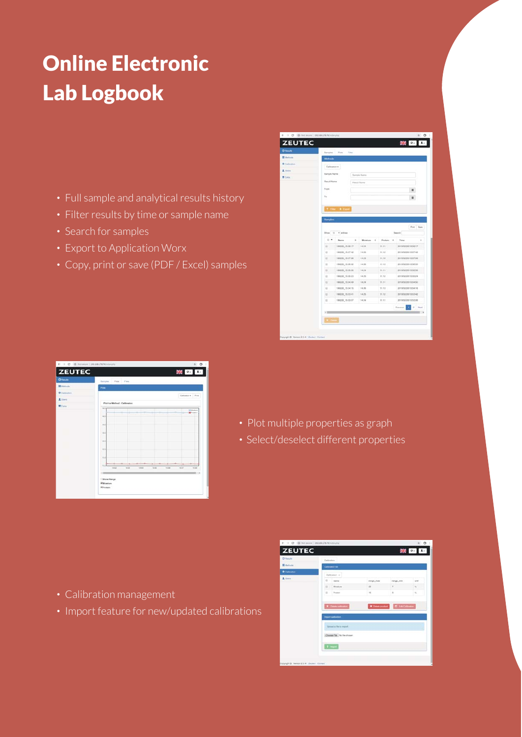## Online Electronic Lab Logbook

- **·** Full sample and analytical results history
- **·** Filter results by time or sample name
- **·** Search for samples
- **·** Export to Application Worx
- **·** Copy, print or save (PDF / Excel) samples

|                 | ← → C © Not second 132.168.178.74/volon_shg |                       |               |                  |         |     |                      | 0.91         |
|-----------------|---------------------------------------------|-----------------------|---------------|------------------|---------|-----|----------------------|--------------|
| <b>ZEUTEC</b>   |                                             |                       |               |                  |         |     | 業 6-                 | $\mathbf{1}$ |
| O(mn)           | Samples                                     | Pone<br>Files         |               |                  |         |     |                      |              |
| <b>目 United</b> | Methods                                     |                       |               |                  |         |     |                      |              |
| O California    |                                             |                       |               |                  |         |     |                      |              |
| L Lines.        | Calbreton +                                 |                       |               |                  |         |     |                      |              |
| <b>M</b> Even   | <b>Barriote Name</b><br><b>Flash R Name</b> |                       | Sample Harris |                  |         |     |                      |              |
|                 |                                             |                       | Flood Norm    |                  |         |     |                      |              |
|                 | From                                        |                       |               |                  |         |     | ш                    |              |
|                 | To.                                         |                       |               |                  |         |     | ш                    |              |
|                 |                                             |                       |               |                  |         |     |                      |              |
|                 |                                             | <b>T</b> File: & Cant |               |                  |         |     |                      |              |
|                 |                                             |                       |               |                  |         |     |                      |              |
|                 |                                             | Show 10 without       |               |                  |         |     | Search.              | For Day      |
|                 | $\mathbb{R}$                                | Name                  | $\pm$         | Montune<br>$\pm$ | Proteen | - s | Time                 | $\pm$        |
|                 | $\alpha$                                    | 190228-15:58:17       | 14.24         |                  | 11.11   |     | 2019/02/28 15:58:17  |              |
|                 | $\Box$                                      | 190229_15.57.42       | 14.25         |                  | 11.12   |     | 2019/02/28 15:57:42  |              |
|                 | 盲                                           | 190228_15.57.08       | 14.25         |                  | 11,10   |     | 2019/02/28 15:57:00  |              |
|                 | $\overline{u}$                              | 190228_15.56.32       | 14.25         |                  | 11.12   |     | ptrologies vs se.to. |              |
|                 | $\mathbb{Z}$                                | 190228_15:55:58       | 18.26         |                  | 31.71   |     | 2019/02/28 15:55:58  |              |
|                 |                                             |                       |               |                  |         |     |                      |              |
|                 | $\mathbb{R}$                                | 190220 15:55:23       | 14.25         |                  | 11.12   |     | 2019/02/28 15:55:24  |              |
|                 | $\Omega$                                    | 190228_15:54:49       | 14.26         |                  | 11.31   |     | 0019/02/28 15:54:50  |              |
|                 | $\overline{u}$                              | 190220_15:54:15       | 14.25         |                  | 11.13   |     | 2019/02/28 15:54:16  |              |
|                 | 豆                                           | 190229_15:53:41       | 14.25         |                  | 11.12   |     | 2010/02/28 15:53:42  |              |
|                 | $\mathbb{R}$                                | 100229_15:53:07       | 14.24         |                  | 11.11   |     | 2019/02/28 15:53:00  |              |
|                 |                                             |                       |               |                  |         |     | ×.<br>٠<br>Previous  | Next         |
|                 | $\mathcal{L}$                               |                       |               |                  |         |     |                      |              |
|                 |                                             |                       |               |                  |         |     |                      |              |
|                 | <b>X</b> DAMI                               |                       |               |                  |         |     |                      |              |

| $\leftarrow$ $\rightarrow$ C $\oplus$ Returns   19210817874/minutes |                                                  | $\theta$                              |
|---------------------------------------------------------------------|--------------------------------------------------|---------------------------------------|
| <b>ZEUTEC</b>                                                       |                                                  | 米 : 1                                 |
| <b>Offence</b>                                                      | Samples<br>Picke <sup>1</sup><br>Films<br>۰<br>٠ |                                       |
| <b>II</b> Melvisie                                                  | Post.                                            |                                       |
| O Californitors                                                     |                                                  | Calliston Post                        |
| <b>A</b> think                                                      | Plot for Method ; Californizon.                  |                                       |
| <b>Wilde</b>                                                        | 14.6                                             |                                       |
|                                                                     |                                                  | <b>Ultimation</b><br><b>BP</b> rinten |
|                                                                     | 0.01                                             |                                       |
|                                                                     | 19.9                                             |                                       |
|                                                                     |                                                  |                                       |
|                                                                     | <b>Vid</b>                                       |                                       |
|                                                                     |                                                  |                                       |
|                                                                     | 12.6                                             |                                       |
|                                                                     | <b>TZD</b>                                       |                                       |
|                                                                     |                                                  |                                       |
|                                                                     | 11.6                                             |                                       |
|                                                                     | $v = 1$                                          |                                       |
|                                                                     | teld.<br>$-1448$<br>tess<br>14.05<br>14.00       | 14.00<br><b>HART</b>                  |
|                                                                     | $+ 22$                                           |                                       |
|                                                                     | - Show Flange                                    |                                       |
|                                                                     | Witholetone<br><b>Riftsubein</b>                 |                                       |

- **·** Plot multiple properties as graph
- **·** Select/deselect different properties

- **·** Calibration management
- **·** Import feature for new/updated calibrations

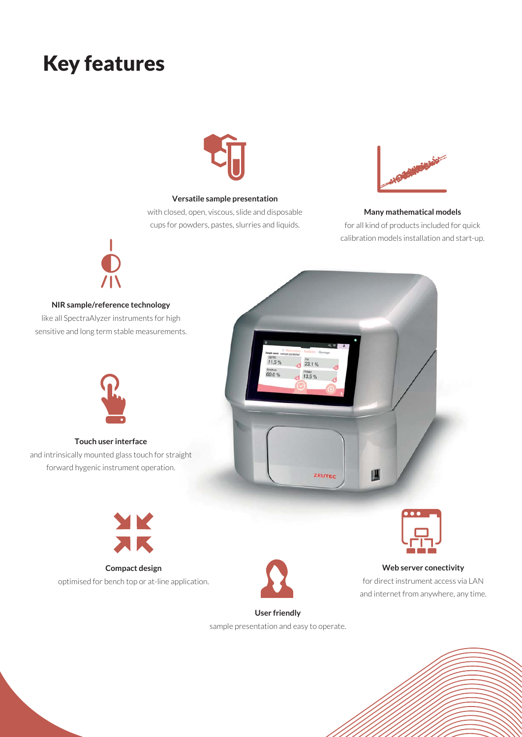## Key features



### **Versatile sample presentation**

with closed, open, viscous, slide and disposable cups for powders, pastes, slurries and liquids.



### **Many mathematical models**

for all kind of products included for quick calibration models installation and start-up.



**NIR sample/reference technology**

like all SpectraAlyzer instruments for high sensitive and long term stable measurements.





**Touch user interface** and intrinsically mounted glass touch for straight

forward hygenic instrument operation.



**Compact design** optimised for bench top or at-line application.





**Web server conectivity**

for direct instrument access via LAN and internet from anywhere, any time.

## **User friendly**

sample presentation and easy to operate.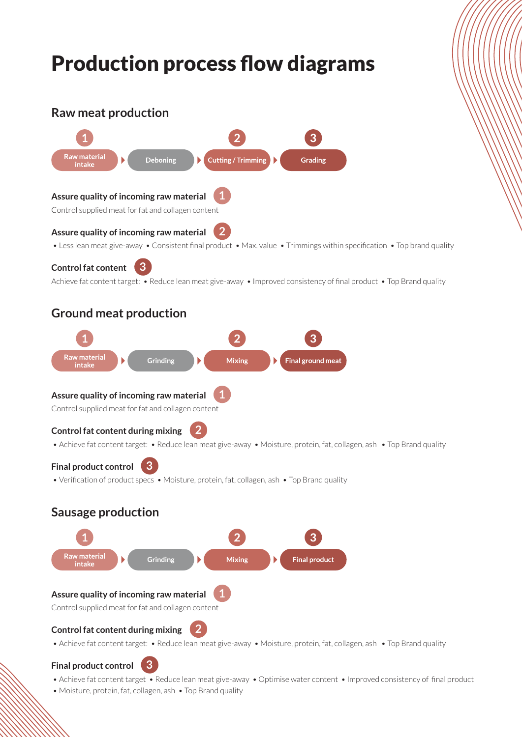## Production process flow diagrams **Raw meat production Raw material** Deboning **Cutting/Trimming** Grading intake **1 Assure quality of incoming raw material** Control supplied meat for fat and collagen content **2 Assure quality of incoming raw material** • Less lean meat give-away • Consistent final product • Max. value • Trimmings within specification • Top brand quality **Control fat content 3** Achieve fat content target: • Reduce lean meat give-away • Improved consistency of final product • Top Brand quality **Ground meat production**



## **Final product control**

- Achieve fat content target Reduce lean meat give-away Optimise water content Improved consistency of final product
- Moisture, protein, fat, collagen, ash Top Brand quality

**3**